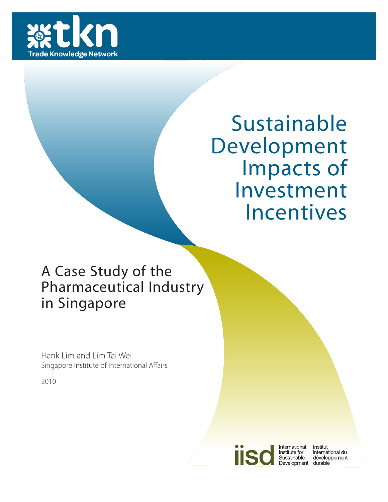

# Sustainable Development Impacts of Investment Incentives

# A Case Study of the Pharmaceutical Industry in Singapore

Hank Lim and Lim Tai Wei Singapore Institute of International Affairs

2010



International Institute for Sustainable Development durable

Institut international du développement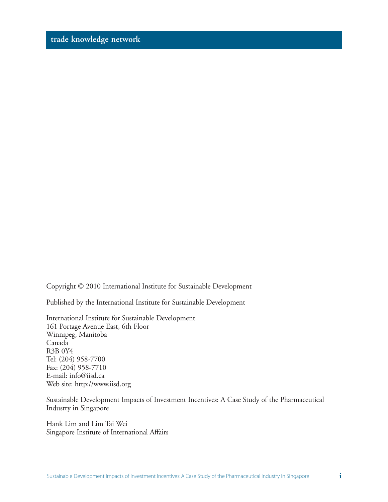Copyright © 2010 International Institute for Sustainable Development

Published by the International Institute for Sustainable Development

International Institute for Sustainable Development 161 Portage Avenue East, 6th Floor Winnipeg, Manitoba Canada R3B 0Y4 Tel: (204) 958-7700 Fax: (204) 958-7710 E-mail: info@iisd.ca Web site: http://www.iisd.org

Sustainable Development Impacts of Investment Incentives: A Case Study of the Pharmaceutical Industry in Singapore

Hank Lim and Lim Tai Wei Singapore Institute of International Affairs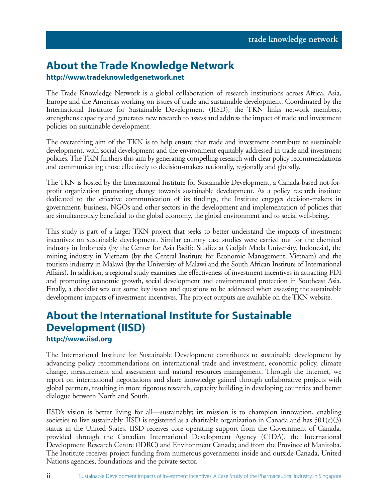# **About the Trade Knowledge Network**

#### **http://www.tradeknowledgenetwork.net**

The Trade Knowledge Network is a global collaboration of research institutions across Africa, Asia, Europe and the Americas working on issues of trade and sustainable development. Coordinated by the International Institute for Sustainable Development (IISD), the TKN links network members, strengthens capacity and generates new research to assess and address the impact of trade and investment policies on sustainable development.

The overarching aim of the TKN is to help ensure that trade and investment contribute to sustainable development, with social development and the environment equitably addressed in trade and investment policies. The TKN furthers this aim by generating compelling research with clear policy recommendations and communicating those effectively to decision-makers nationally, regionally and globally.

The TKN is hosted by the International Institute for Sustainable Development, a Canada-based not-forprofit organization promoting change towards sustainable development. As a policy research institute dedicated to the effective communication of its findings, the Institute engages decision-makers in government, business, NGOs and other sectors in the development and implementation of policies that are simultaneously beneficial to the global economy, the global environment and to social well-being.

This study is part of a larger TKN project that seeks to better understand the impacts of investment incentives on sustainable development. Similar country case studies were carried out for the chemical industry in Indonesia (by the Center for Asia Pacific Studies at Gadjah Mada University, Indonesia), the mining industry in Vietnam (by the Central Institute for Economic Management, Vietnam) and the tourism industry in Malawi (by the University of Malawi and the South African Institute of International Affairs). In addition, a regional study examines the effectiveness of investment incentives in attracting FDI and promoting economic growth, social development and environmental protection in Southeast Asia. Finally, a checklist sets out some key issues and questions to be addressed when assessing the sustainable development impacts of investment incentives. The project outputs are available on the TKN website.

# **About the International Institute for Sustainable Development (IISD)**

**http://www.iisd.org**

The International Institute for Sustainable Development contributes to sustainable development by advancing policy recommendations on international trade and investment, economic policy, climate change, measurement and assessment and natural resources management. Through the Internet, we report on international negotiations and share knowledge gained through collaborative projects with global partners, resulting in more rigorous research, capacity building in developing countries and better dialogue between North and South.

IISD's vision is better living for all—sustainably; its mission is to champion innovation, enabling societies to live sustainably. IISD is registered as a charitable organization in Canada and has  $501(c)(3)$ status in the United States. IISD receives core operating support from the Government of Canada, provided through the Canadian International Development Agency (CIDA), the International Development Research Centre (IDRC) and Environment Canada; and from the Province of Manitoba. The Institute receives project funding from numerous governments inside and outside Canada, United Nations agencies, foundations and the private sector.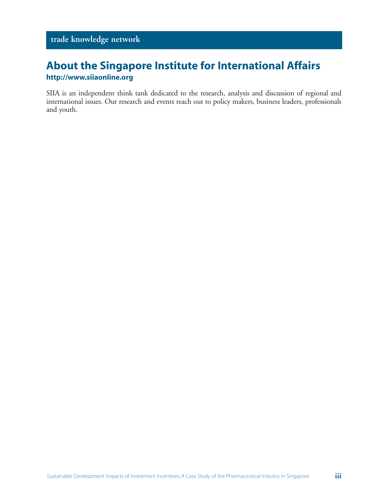# **About the Singapore Institute for International Affairs**

#### **http://www.siiaonline.org**

SIIA is an independent think tank dedicated to the research, analysis and discussion of regional and international issues. Our research and events reach out to policy makers, business leaders, professionals and youth.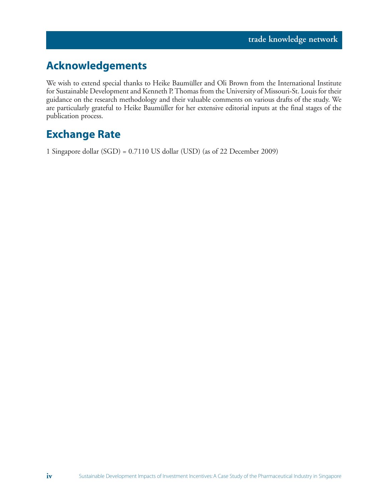# **Acknowledgements**

We wish to extend special thanks to Heike Baumüller and Oli Brown from the International Institute for Sustainable Development and Kenneth P. Thomas from the University of Missouri-St. Louis for their guidance on the research methodology and their valuable comments on various drafts of the study. We are particularly grateful to Heike Baumüller for her extensive editorial inputs at the final stages of the publication process.

# **Exchange Rate**

1 Singapore dollar (SGD) = 0.7110 US dollar (USD) (as of 22 December 2009)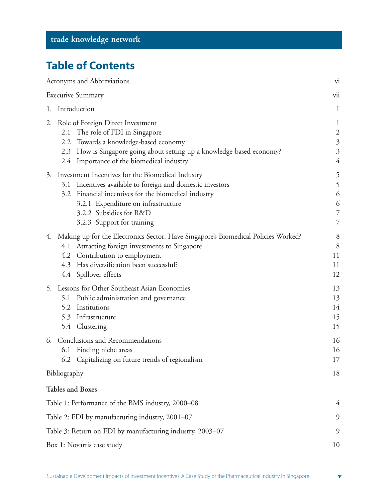# **Table of Contents**

|    | Acronyms and Abbreviations                                                                                                                                                                                                                                                 | vi                                                                                            |
|----|----------------------------------------------------------------------------------------------------------------------------------------------------------------------------------------------------------------------------------------------------------------------------|-----------------------------------------------------------------------------------------------|
|    | <b>Executive Summary</b>                                                                                                                                                                                                                                                   | vii                                                                                           |
|    | 1. Introduction                                                                                                                                                                                                                                                            | $\mathbf{1}$                                                                                  |
| 2. | Role of Foreign Direct Investment<br>2.1 The role of FDI in Singapore<br>2.2 Towards a knowledge-based economy<br>2.3 How is Singapore going about setting up a knowledge-based economy?<br>2.4 Importance of the biomedical industry                                      | $\mathbf{1}$<br>$\overline{\mathbf{c}}$<br>$\mathfrak{Z}$<br>$\mathfrak{Z}$<br>$\overline{4}$ |
|    | 3. Investment Incentives for the Biomedical Industry<br>3.1 Incentives available to foreign and domestic investors<br>3.2 Financial incentives for the biomedical industry<br>3.2.1 Expenditure on infrastructure<br>3.2.2 Subsidies for R&D<br>3.2.3 Support for training | 5<br>5<br>6<br>6<br>7<br>7                                                                    |
|    | 4. Making up for the Electronics Sector: Have Singapore's Biomedical Policies Worked?<br>4.1 Attracting foreign investments to Singapore<br>4.2 Contribution to employment<br>4.3 Has diversification been successful?<br>4.4 Spillover effects                            | 8<br>8<br>11<br>11<br>12                                                                      |
|    | 5. Lessons for Other Southeast Asian Economies<br>5.1 Public administration and governance<br>Institutions<br>5.2<br>5.3 Infrastructure<br>5.4 Clustering                                                                                                                  | 13<br>13<br>14<br>15<br>15                                                                    |
| 6. | Conclusions and Recommendations<br>6.1 Finding niche areas<br>6.2 Capitalizing on future trends of regionalism                                                                                                                                                             | 16<br>16<br>17                                                                                |
|    | Bibliography                                                                                                                                                                                                                                                               | 18                                                                                            |
|    | <b>Tables and Boxes</b>                                                                                                                                                                                                                                                    |                                                                                               |
|    | Table 1: Performance of the BMS industry, 2000-08                                                                                                                                                                                                                          | 4                                                                                             |
|    | Table 2: FDI by manufacturing industry, 2001-07                                                                                                                                                                                                                            | 9                                                                                             |
|    | Table 3: Return on FDI by manufacturing industry, 2003-07                                                                                                                                                                                                                  | 9                                                                                             |
|    | Box 1: Novartis case study                                                                                                                                                                                                                                                 | 10                                                                                            |

**v**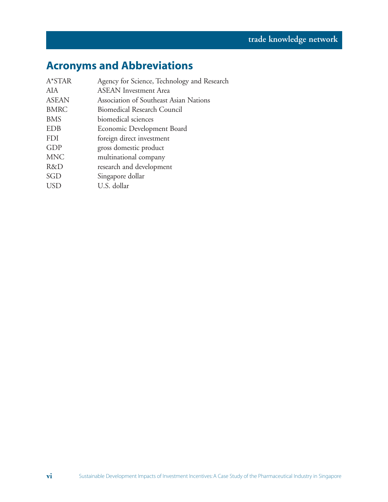# **Acronyms and Abbreviations**

| A*STAR       | Agency for Science, Technology and Research |
|--------------|---------------------------------------------|
| AIA          | <b>ASEAN</b> Investment Area                |
| <b>ASEAN</b> | Association of Southeast Asian Nations      |
| <b>BMRC</b>  | <b>Biomedical Research Council</b>          |
| <b>BMS</b>   | biomedical sciences                         |
| <b>EDB</b>   | Economic Development Board                  |
| <b>FDI</b>   | foreign direct investment                   |
| <b>GDP</b>   | gross domestic product                      |
| <b>MNC</b>   | multinational company                       |
| R&D          | research and development                    |
| SGD          | Singapore dollar                            |
| <b>USD</b>   | U.S. dollar                                 |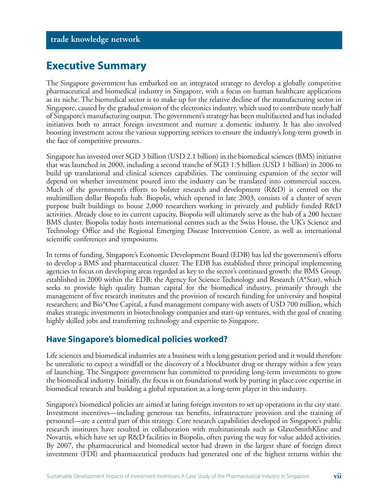### **Executive Summary**

The Singapore government has embarked on an integrated strategy to develop a globally competitive pharmaceutical and biomedical industry in Singapore, with a focus on human healthcare applications as its niche. The biomedical sector is to make up for the relative decline of the manufacturing sector in Singapore, caused by the gradual erosion of the electronics industry, which used to contribute nearly half of Singapore's manufacturing output. The government's strategy has been multifaceted and has included initiatives both to attract foreign investment and nurture a domestic industry. It has also involved boosting investment across the various supporting services to ensure the industry's long-term growth in the face of competitive pressures.

Singapore has invested over SGD 3 billion (USD 2.1 billion) in the biomedical sciences (BMS) initiative that was launched in 2000, including a second tranche of SGD 1.5 billion (USD 1 billion) in 2006 to build up translational and clinical sciences capabilities. The continuing expansion of the sector will depend on whether investment poured into the industry can be translated into commercial success. Much of the government's efforts to bolster research and development (R&D) is centred on the multimillion dollar Biopolis hub. Biopolis, which opened in late 2003, consists of a cluster of seven purpose built buildings to house 2,000 researchers working in privately and publicly funded R&D activities. Already close to its current capacity, Biopolis will ultimately serve as the hub of a 200 hectare BMS cluster. Biopolis today hosts international centres such as the Swiss House, the UK's Science and Technology Office and the Regional Emerging Disease Intervention Centre, as well as international scientific conferences and symposiums.

In terms of funding, Singapore's Economic Development Board (EDB) has led the government's efforts to develop a BMS and pharmaceutical cluster. The EDB has established three principal implementing agencies to focus on developing areas regarded as key to the sector's continued growth: the BMS Group, established in 2000 within the EDB; the Agency for Science Technology and Research (A\*Star), which seeks to provide high quality human capital for the biomedical industry, primarily through the management of five research institutes and the provision of research funding for university and hospital researchers; and Bio\*One Capital, a fund management company with assets of USD 700 million, which makes strategic investments in biotechnology companies and start-up ventures, with the goal of creating highly skilled jobs and transferring technology and expertise to Singapore.

#### **Have Singapore's biomedical policies worked?**

Life sciences and biomedical industries are a business with a long gestation period and it would therefore be unrealistic to expect a windfall or the discovery of a blockbuster drug or therapy within a few years of launching. The Singapore government has committed to providing long-term investments to grow the biomedical industry. Initially, the focus is on foundational work by putting in place core expertise in biomedical research and building a global reputation as a long-term player in this industry.

Singapore's biomedical policies are aimed at luring foreign investors to set up operations in the city state. Investment incentives—including generous tax benefits, infrastructure provision and the training of personnel—are a central part of this strategy. Core research capabilities developed in Singapore's public research institutes have resulted in collaboration with multinationals such as GlaxoSmithKline and Novartis, which have set up R&D facilities in Biopolis, often paving the way for value added activities. By 2007, the pharmaceutical and biomedical sector had drawn in the largest share of foreign direct investment (FDI) and pharmaceutical products had generated one of the highest returns within the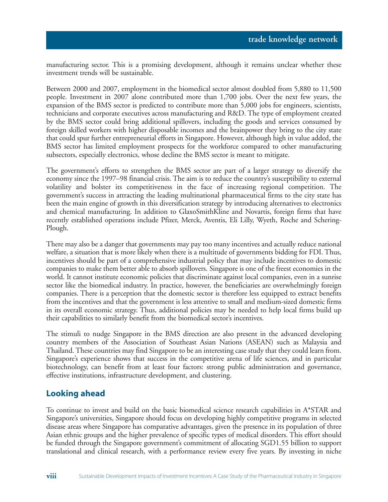manufacturing sector. This is a promising development, although it remains unclear whether these investment trends will be sustainable.

Between 2000 and 2007, employment in the biomedical sector almost doubled from 5,880 to 11,500 people. Investment in 2007 alone contributed more than 1,700 jobs. Over the next few years, the expansion of the BMS sector is predicted to contribute more than 5,000 jobs for engineers, scientists, technicians and corporate executives across manufacturing and R&D. The type of employment created by the BMS sector could bring additional spillovers, including the goods and services consumed by foreign skilled workers with higher disposable incomes and the brainpower they bring to the city state that could spur further entrepreneurial efforts in Singapore. However, although high in value added, the BMS sector has limited employment prospects for the workforce compared to other manufacturing subsectors, especially electronics, whose decline the BMS sector is meant to mitigate.

The government's efforts to strengthen the BMS sector are part of a larger strategy to diversify the economy since the 1997–98 financial crisis. The aim is to reduce the country's susceptibility to external volatility and bolster its competitiveness in the face of increasing regional competition. The government's success in attracting the leading multinational pharmaceutical firms to the city state has been the main engine of growth in this diversification strategy by introducing alternatives to electronics and chemical manufacturing. In addition to GlaxoSmithKline and Novartis, foreign firms that have recently established operations include Pfizer, Merck, Aventis, Eli Lilly, Wyeth, Roche and Schering-Plough.

There may also be a danger that governments may pay too many incentives and actually reduce national welfare, a situation that is more likely when there is a multitude of governments bidding for FDI. Thus, incentives should be part of a comprehensive industrial policy that may include incentives to domestic companies to make them better able to absorb spillovers. Singapore is one of the freest economies in the world. It cannot institute economic policies that discriminate against local companies, even in a sunrise sector like the biomedical industry. In practice, however, the beneficiaries are overwhelmingly foreign companies. There is a perception that the domestic sector is therefore less equipped to extract benefits from the incentives and that the government is less attentive to small and medium-sized domestic firms in its overall economic strategy. Thus, additional policies may be needed to help local firms build up their capabilities to similarly benefit from the biomedical sector's incentives.

The stimuli to nudge Singapore in the BMS direction are also present in the advanced developing country members of the Association of Southeast Asian Nations (ASEAN) such as Malaysia and Thailand. These countries may find Singapore to be an interesting case study that they could learn from. Singapore's experience shows that success in the competitive arena of life sciences, and in particular biotechnology, can benefit from at least four factors: strong public administration and governance, effective institutions, infrastructure development, and clustering.

#### **Looking ahead**

**viii**

To continue to invest and build on the basic biomedical science research capabilities in A\*STAR and Singapore's universities, Singapore should focus on developing highly competitive programs in selected disease areas where Singapore has comparative advantages, given the presence in its population of three Asian ethnic groups and the higher prevalence of specific types of medical disorders. This effort should be funded through the Singapore government's commitment of allocating SGD1.55 billion to support translational and clinical research, with a performance review every five years. By investing in niche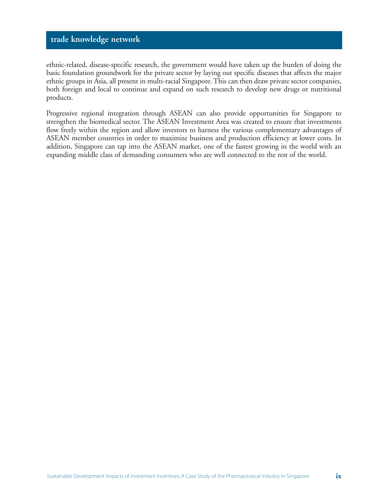ethnic-related, disease-specific research, the government would have taken up the burden of doing the basic foundation groundwork for the private sector by laying out specific diseases that affects the major ethnic groups in Asia, all present in multi-racial Singapore. This can then draw private sector companies, both foreign and local to continue and expand on such research to develop new drugs or nutritional products.

Progressive regional integration through ASEAN can also provide opportunities for Singapore to strengthen the biomedical sector. The ASEAN Investment Area was created to ensure that investments flow freely within the region and allow investors to harness the various complementary advantages of ASEAN member countries in order to maximize business and production efficiency at lower costs. In addition, Singapore can tap into the ASEAN market, one of the fastest growing in the world with an expanding middle class of demanding consumers who are well connected to the rest of the world.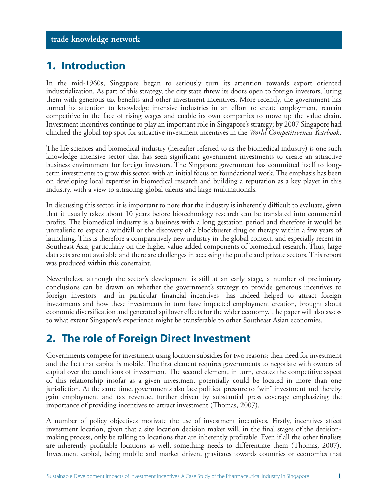# **1. Introduction**

In the mid-1960s, Singapore began to seriously turn its attention towards export oriented industrialization. As part of this strategy, the city state threw its doors open to foreign investors, luring them with generous tax benefits and other investment incentives. More recently, the government has turned its attention to knowledge intensive industries in an effort to create employment, remain competitive in the face of rising wages and enable its own companies to move up the value chain. Investment incentives continue to play an important role in Singapore's strategy; by 2007 Singapore had clinched the global top spot for attractive investment incentives in the *World Competitiveness Yearbook*.

The life sciences and biomedical industry (hereafter referred to as the biomedical industry) is one such knowledge intensive sector that has seen significant government investments to create an attractive business environment for foreign investors. The Singapore government has committed itself to longterm investments to grow this sector, with an initial focus on foundational work. The emphasis has been on developing local expertise in biomedical research and building a reputation as a key player in this industry, with a view to attracting global talents and large multinationals.

In discussing this sector, it is important to note that the industry is inherently difficult to evaluate, given that it usually takes about 10 years before biotechnology research can be translated into commercial profits. The biomedical industry is a business with a long gestation period and therefore it would be unrealistic to expect a windfall or the discovery of a blockbuster drug or therapy within a few years of launching. This is therefore a comparatively new industry in the global context, and especially recent in Southeast Asia, particularly on the higher value-added components of biomedical research. Thus, large data sets are not available and there are challenges in accessing the public and private sectors. This report was produced within this constraint.

Nevertheless, although the sector's development is still at an early stage, a number of preliminary conclusions can be drawn on whether the government's strategy to provide generous incentives to foreign investors—and in particular financial incentives—has indeed helped to attract foreign investments and how these investments in turn have impacted employment creation, brought about economic diversification and generated spillover effects for the wider economy. The paper will also assess to what extent Singapore's experience might be transferable to other Southeast Asian economies.

# **2. The role of Foreign Direct Investment**

Governments compete for investment using location subsidies for two reasons: their need for investment and the fact that capital is mobile. The first element requires governments to negotiate with owners of capital over the conditions of investment. The second element, in turn, creates the competitive aspect of this relationship insofar as a given investment potentially could be located in more than one jurisdiction. At the same time, governments also face political pressure to "win" investment and thereby gain employment and tax revenue, further driven by substantial press coverage emphasizing the importance of providing incentives to attract investment (Thomas, 2007).

A number of policy objectives motivate the use of investment incentives. Firstly, incentives affect investment location, given that a site location decision maker will, in the final stages of the decisionmaking process, only be talking to locations that are inherently profitable. Even if all the other finalists are inherently profitable locations as well, something needs to differentiate them (Thomas, 2007). Investment capital, being mobile and market driven, gravitates towards countries or economies that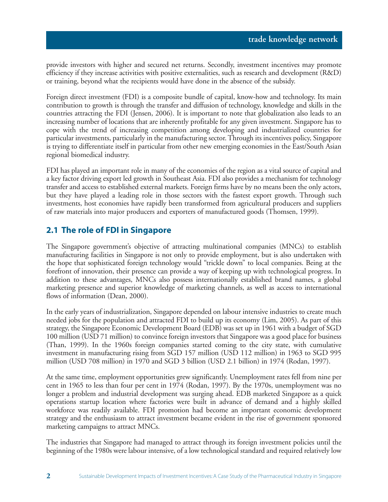provide investors with higher and secured net returns. Secondly, investment incentives may promote efficiency if they increase activities with positive externalities, such as research and development (R&D) or training, beyond what the recipients would have done in the absence of the subsidy.

Foreign direct investment (FDI) is a composite bundle of capital, know-how and technology. Its main contribution to growth is through the transfer and diffusion of technology, knowledge and skills in the countries attracting the FDI (Jensen, 2006). It is important to note that globalization also leads to an increasing number of locations that are inherently profitable for any given investment. Singapore has to cope with the trend of increasing competition among developing and industrialized countries for particular investments, particularly in the manufacturing sector. Through its incentives policy, Singapore is trying to differentiate itself in particular from other new emerging economies in the East/South Asian regional biomedical industry.

FDI has played an important role in many of the economies of the region as a vital source of capital and a key factor driving export led growth in Southeast Asia. FDI also provides a mechanism for technology transfer and access to established external markets. Foreign firms have by no means been the only actors, but they have played a leading role in those sectors with the fastest export growth. Through such investments, host economies have rapidly been transformed from agricultural producers and suppliers of raw materials into major producers and exporters of manufactured goods (Thomsen, 1999).

#### **2.1 The role of FDI in Singapore**

The Singapore government's objective of attracting multinational companies (MNCs) to establish manufacturing facilities in Singapore is not only to provide employment, but is also undertaken with the hope that sophisticated foreign technology would "trickle down" to local companies. Being at the forefront of innovation, their presence can provide a way of keeping up with technological progress. In addition to these advantages, MNCs also possess internationally established brand names, a global marketing presence and superior knowledge of marketing channels, as well as access to international flows of information (Dean, 2000).

In the early years of industrialization, Singapore depended on labour intensive industries to create much needed jobs for the population and attracted FDI to build up its economy (Lim, 2005). As part of this strategy, the Singapore Economic Development Board (EDB) was set up in 1961 with a budget of SGD 100 million (USD 71 million) to convince foreign investors that Singapore was a good place for business (Than, 1999). In the 1960s foreign companies started coming to the city state, with cumulative investment in manufacturing rising from SGD 157 million (USD 112 million) in 1963 to SGD 995 million (USD 708 million) in 1970 and SGD 3 billion (USD 2.1 billion) in 1974 (Rodan, 1997).

At the same time, employment opportunities grew significantly. Unemployment rates fell from nine per cent in 1965 to less than four per cent in 1974 (Rodan, 1997). By the 1970s, unemployment was no longer a problem and industrial development was surging ahead. EDB marketed Singapore as a quick operations startup location where factories were built in advance of demand and a highly skilled workforce was readily available. FDI promotion had become an important economic development strategy and the enthusiasm to attract investment became evident in the rise of government sponsored marketing campaigns to attract MNCs.

The industries that Singapore had managed to attract through its foreign investment policies until the beginning of the 1980s were labour intensive, of a low technological standard and required relatively low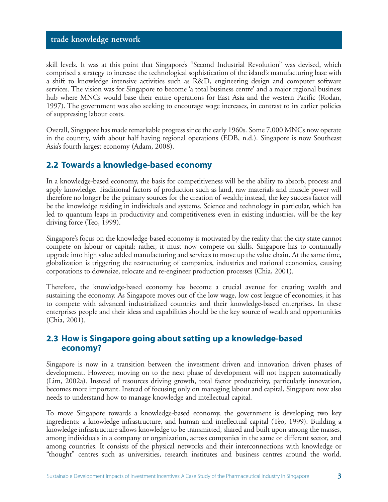skill levels. It was at this point that Singapore's "Second Industrial Revolution" was devised, which comprised a strategy to increase the technological sophistication of the island's manufacturing base with a shift to knowledge intensive activities such as R&D, engineering design and computer software services. The vision was for Singapore to become 'a total business centre' and a major regional business hub where MNCs would base their entire operations for East Asia and the western Pacific (Rodan, 1997). The government was also seeking to encourage wage increases, in contrast to its earlier policies of suppressing labour costs.

Overall, Singapore has made remarkable progress since the early 1960s. Some 7,000 MNCs now operate in the country, with about half having regional operations (EDB, n.d.). Singapore is now Southeast Asia's fourth largest economy (Adam, 2008).

#### **2.2 Towards a knowledge-based economy**

In a knowledge-based economy, the basis for competitiveness will be the ability to absorb, process and apply knowledge. Traditional factors of production such as land, raw materials and muscle power will therefore no longer be the primary sources for the creation of wealth; instead, the key success factor will be the knowledge residing in individuals and systems. Science and technology in particular, which has led to quantum leaps in productivity and competitiveness even in existing industries, will be the key driving force (Teo, 1999).

Singapore's focus on the knowledge-based economy is motivated by the reality that the city state cannot compete on labour or capital; rather, it must now compete on skills. Singapore has to continually upgrade into high value added manufacturing and services to move up the value chain. At the same time, globalization is triggering the restructuring of companies, industries and national economies, causing corporations to downsize, relocate and re-engineer production processes (Chia, 2001).

Therefore, the knowledge-based economy has become a crucial avenue for creating wealth and sustaining the economy. As Singapore moves out of the low wage, low cost league of economies, it has to compete with advanced industrialized countries and their knowledge-based enterprises. In these enterprises people and their ideas and capabilities should be the key source of wealth and opportunities (Chia, 2001).

#### **2.3 How is Singapore going about setting up a knowledge-based economy?**

Singapore is now in a transition between the investment driven and innovation driven phases of development. However, moving on to the next phase of development will not happen automatically (Lim, 2002a). Instead of resources driving growth, total factor productivity, particularly innovation, becomes more important. Instead of focusing only on managing labour and capital, Singapore now also needs to understand how to manage knowledge and intellectual capital.

To move Singapore towards a knowledge-based economy, the government is developing two key ingredients: a knowledge infrastructure, and human and intellectual capital (Teo, 1999). Building a knowledge infrastructure allows knowledge to be transmitted, shared and built upon among the masses, among individuals in a company or organization, across companies in the same or different sector, and among countries. It consists of the physical networks and their interconnections with knowledge or "thought" centres such as universities, research institutes and business centres around the world.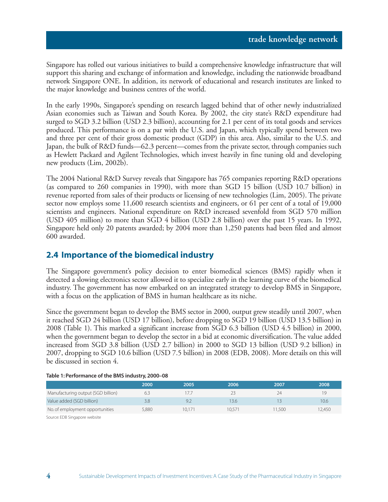Singapore has rolled out various initiatives to build a comprehensive knowledge infrastructure that will support this sharing and exchange of information and knowledge, including the nationwide broadband network Singapore ONE. In addition, its network of educational and research institutes are linked to the major knowledge and business centres of the world.

In the early 1990s, Singapore's spending on research lagged behind that of other newly industrialized Asian economies such as Taiwan and South Korea. By 2002, the city state's R&D expenditure had surged to SGD 3.2 billion (USD 2.3 billion), accounting for 2.1 per cent of its total goods and services produced. This performance is on a par with the U.S. and Japan, which typically spend between two and three per cent of their gross domestic product (GDP) in this area. Also, similar to the U.S. and Japan, the bulk of R&D funds—62.3 percent—comes from the private sector, through companies such as Hewlett Packard and Agilent Technologies, which invest heavily in fine tuning old and developing new products (Lim, 2002b).

The 2004 National R&D Survey reveals that Singapore has 765 companies reporting R&D operations (as compared to 260 companies in 1990), with more than SGD 15 billion (USD 10.7 billion) in revenue reported from sales of their products or licensing of new technologies (Lim, 2005). The private sector now employs some 11,600 research scientists and engineers, or 61 per cent of a total of 19,000 scientists and engineers. National expenditure on R&D increased sevenfold from SGD 570 million (USD 405 million) to more than SGD 4 billion (USD 2.8 billion) over the past 15 years. In 1992, Singapore held only 20 patents awarded; by 2004 more than 1,250 patents had been filed and almost 600 awarded.

#### **2.4 Importance of the biomedical industry**

The Singapore government's policy decision to enter biomedical sciences (BMS) rapidly when it detected a slowing electronics sector allowed it to specialize early in the learning curve of the biomedical industry. The government has now embarked on an integrated strategy to develop BMS in Singapore, with a focus on the application of BMS in human healthcare as its niche.

Since the government began to develop the BMS sector in 2000, output grew steadily until 2007, when it reached SGD 24 billion (USD 17 billion), before dropping to SGD 19 billion (USD 13.5 billion) in 2008 (Table 1). This marked a significant increase from SGD 6.3 billion (USD 4.5 billion) in 2000, when the government began to develop the sector in a bid at economic diversification. The value added increased from SGD 3.8 billion (USD 2.7 billion) in 2000 to SGD 13 billion (USD 9.2 billion) in 2007, dropping to SGD 10.6 billion (USD 7.5 billion) in 2008 (EDB, 2008). More details on this will be discussed in section 4.

|                                    | 2000  | 2005   | 2006   | 2007   | 2008   |
|------------------------------------|-------|--------|--------|--------|--------|
| Manufacturing output (SGD billion) |       | 17.7   |        | 24     | 19     |
| Value added (SGD billion)          | 3.8   | 9.2    | 13.6   |        | 10.6   |
| No. of employment opportunities    | 5.880 | 10.171 | 10.571 | 11.500 | 12.450 |

#### **Table 1: Performance of the BMS industry, 2000–08**

Source: EDB Singapore website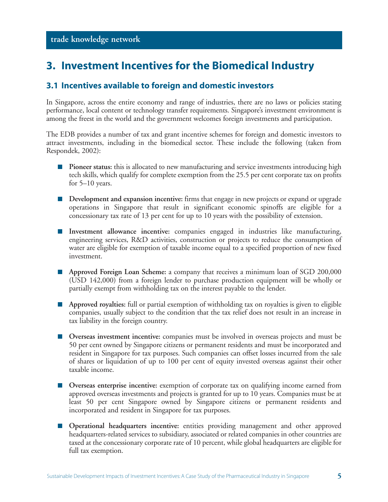### **3. Investment Incentives for the Biomedical Industry**

#### **3.1 Incentives available to foreign and domestic investors**

In Singapore, across the entire economy and range of industries, there are no laws or policies stating performance, local content or technology transfer requirements. Singapore's investment environment is among the freest in the world and the government welcomes foreign investments and participation.

The EDB provides a number of tax and grant incentive schemes for foreign and domestic investors to attract investments, including in the biomedical sector. These include the following (taken from Respondek, 2002):

- **Pioneer status:** this is allocated to new manufacturing and service investments introducing high tech skills, which qualify for complete exemption from the 25.5 per cent corporate tax on profits for 5–10 years.
- **Development and expansion incentive:** firms that engage in new projects or expand or upgrade operations in Singapore that result in significant economic spinoffs are eligible for a concessionary tax rate of 13 per cent for up to 10 years with the possibility of extension.
- **Investment allowance incentive:** companies engaged in industries like manufacturing, engineering services, R&D activities, construction or projects to reduce the consumption of water are eligible for exemption of taxable income equal to a specified proportion of new fixed investment.
- **Approved Foreign Loan Scheme:** a company that receives a minimum loan of SGD 200,000 (USD 142,000) from a foreign lender to purchase production equipment will be wholly or partially exempt from withholding tax on the interest payable to the lender.
- **Approved royalties:** full or partial exemption of withholding tax on royalties is given to eligible companies, usually subject to the condition that the tax relief does not result in an increase in tax liability in the foreign country.
- **Overseas investment incentive:** companies must be involved in overseas projects and must be 50 per cent owned by Singapore citizens or permanent residents and must be incorporated and resident in Singapore for tax purposes. Such companies can offset losses incurred from the sale of shares or liquidation of up to 100 per cent of equity invested overseas against their other taxable income.
- **Overseas enterprise incentive:** exemption of corporate tax on qualifying income earned from approved overseas investments and projects is granted for up to 10 years. Companies must be at least 50 per cent Singapore owned by Singapore citizens or permanent residents and incorporated and resident in Singapore for tax purposes.
- **Operational headquarters incentive:** entities providing management and other approved headquarters-related services to subsidiary, associated or related companies in other countries are taxed at the concessionary corporate rate of 10 percent, while global headquarters are eligible for full tax exemption.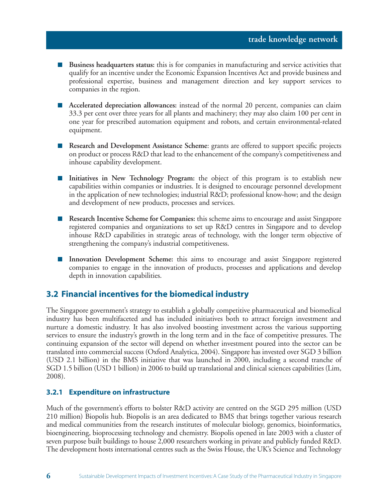- **Business headquarters status:** this is for companies in manufacturing and service activities that qualify for an incentive under the Economic Expansion Incentives Act and provide business and professional expertise, business and management direction and key support services to companies in the region.
- **Accelerated depreciation allowances:** instead of the normal 20 percent, companies can claim 33.3 per cent over three years for all plants and machinery; they may also claim 100 per cent in one year for prescribed automation equipment and robots, and certain environmental-related equipment.
- **Research and Development Assistance Scheme**: grants are offered to support specific projects on product or process R&D that lead to the enhancement of the company's competitiveness and inhouse capability development.
- **Initiatives in New Technology Program:** the object of this program is to establish new capabilities within companies or industries. It is designed to encourage personnel development in the application of new technologies; industrial R&D; professional know-how; and the design and development of new products, processes and services.
- **Research Incentive Scheme for Companies:** this scheme aims to encourage and assist Singapore registered companies and organizations to set up R&D centres in Singapore and to develop inhouse R&D capabilities in strategic areas of technology, with the longer term objective of strengthening the company's industrial competitiveness.
- **Innovation Development Scheme:** this aims to encourage and assist Singapore registered companies to engage in the innovation of products, processes and applications and develop depth in innovation capabilities.

#### **3.2 Financial incentives for the biomedical industry**

The Singapore government's strategy to establish a globally competitive pharmaceutical and biomedical industry has been multifaceted and has included initiatives both to attract foreign investment and nurture a domestic industry. It has also involved boosting investment across the various supporting services to ensure the industry's growth in the long term and in the face of competitive pressures. The continuing expansion of the sector will depend on whether investment poured into the sector can be translated into commercial success (Oxford Analytica, 2004). Singapore has invested over SGD 3 billion (USD 2.1 billion) in the BMS initiative that was launched in 2000, including a second tranche of SGD 1.5 billion (USD 1 billion) in 2006 to build up translational and clinical sciences capabilities (Lim, 2008).

#### **3.2.1 Expenditure on infrastructure**

Much of the government's efforts to bolster R&D activity are centred on the SGD 295 million (USD 210 million) Biopolis hub. Biopolis is an area dedicated to BMS that brings together various research and medical communities from the research institutes of molecular biology, genomics, bioinformatics, bioengineering, bioprocessing technology and chemistry. Biopolis opened in late 2003 with a cluster of seven purpose built buildings to house 2,000 researchers working in private and publicly funded R&D. The development hosts international centres such as the Swiss House, the UK's Science and Technology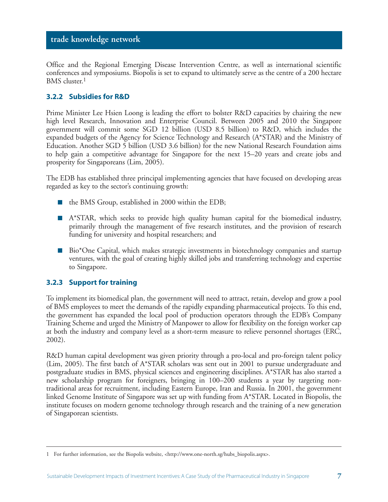Office and the Regional Emerging Disease Intervention Centre, as well as international scientific conferences and symposiums. Biopolis is set to expand to ultimately serve as the centre of a 200 hectare BMS cluster.<sup>1</sup>

#### **3.2.2 Subsidies for R&D**

Prime Minister Lee Hsien Loong is leading the effort to bolster R&D capacities by chairing the new high level Research, Innovation and Enterprise Council. Between 2005 and 2010 the Singapore government will commit some SGD 12 billion (USD 8.5 billion) to R&D, which includes the expanded budgets of the Agency for Science Technology and Research (A\*STAR) and the Ministry of Education. Another SGD 5 billion (USD 3.6 billion) for the new National Research Foundation aims to help gain a competitive advantage for Singapore for the next 15–20 years and create jobs and prosperity for Singaporeans (Lim, 2005).

The EDB has established three principal implementing agencies that have focused on developing areas regarded as key to the sector's continuing growth:

- the BMS Group, established in 2000 within the EDB;
- A\*STAR, which seeks to provide high quality human capital for the biomedical industry, primarily through the management of five research institutes, and the provision of research funding for university and hospital researchers; and
- Bio<sup>\*</sup>One Capital, which makes strategic investments in biotechnology companies and startup ventures, with the goal of creating highly skilled jobs and transferring technology and expertise to Singapore.

#### **3.2.3 Support for training**

To implement its biomedical plan, the government will need to attract, retain, develop and grow a pool of BMS employees to meet the demands of the rapidly expanding pharmaceutical projects. To this end, the government has expanded the local pool of production operators through the EDB's Company Training Scheme and urged the Ministry of Manpower to allow for flexibility on the foreign worker cap at both the industry and company level as a short-term measure to relieve personnel shortages (ERC, 2002).

R&D human capital development was given priority through a pro-local and pro-foreign talent policy (Lim, 2005). The first batch of A\*STAR scholars was sent out in 2001 to pursue undergraduate and postgraduate studies in BMS, physical sciences and engineering disciplines. A\*STAR has also started a new scholarship program for foreigners, bringing in 100–200 students a year by targeting nontraditional areas for recruitment, including Eastern Europe, Iran and Russia. In 2001, the government linked Genome Institute of Singapore was set up with funding from A\*STAR. Located in Biopolis, the institute focuses on modern genome technology through research and the training of a new generation of Singaporean scientists.

<sup>1</sup> For further information, see the Biopolis website, <http://www.one-north.sg/hubs\_biopolis.aspx>.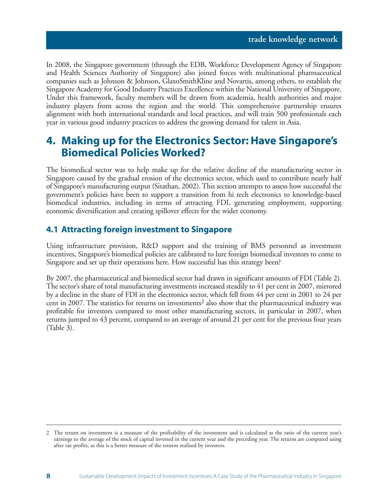In 2008, the Singapore government (through the EDB, Workforce Development Agency of Singapore and Health Sciences Authority of Singapore) also joined forces with multinational pharmaceutical companies such as Johnson & Johnson, GlaxoSmithKline and Novartis, among others, to establish the Singapore Academy for Good Industry Practices Excellence within the National University of Singapore. Under this framework, faculty members will be drawn from academia, health authorities and major industry players from across the region and the world. This comprehensive partnership ensures alignment with both international standards and local practices, and will train 500 professionals each year in various good industry practices to address the growing demand for talent in Asia.

# **4. Making up for the Electronics Sector: Have Singapore's Biomedical Policies Worked?**

The biomedical sector was to help make up for the relative decline of the manufacturing sector in Singapore caused by the gradual erosion of the electronics sector, which used to contribute nearly half of Singapore's manufacturing output (Sitathan, 2002). This section attempts to assess how successful the government's policies have been to support a transition from hi tech electronics to knowledge-based biomedical industries, including in terms of attracting FDI, generating employment, supporting economic diversification and creating spillover effects for the wider economy.

#### **4.1 Attracting foreign investment to Singapore**

Using infrastructure provision, R&D support and the training of BMS personnel as investment incentives, Singapore's biomedical policies are calibrated to lure foreign biomedical investors to come to Singapore and set up their operations here. How successful has this strategy been?

By 2007, the pharmaceutical and biomedical sector had drawn in significant amounts of FDI (Table 2). The sector's share of total manufacturing investments increased steadily to 41 per cent in 2007, mirrored by a decline in the share of FDI in the electronics sector, which fell from 44 per cent in 2001 to 24 per cent in 2007. The statistics for returns on investments<sup>2</sup> also show that the pharmaceutical industry was profitable for investors compared to most other manufacturing sectors, in particular in 2007, when returns jumped to 43 percent, compared to an average of around 21 per cent for the previous four years (Table 3).

<sup>2</sup> The return on investment is a measure of the profitability of the investment and is calculated as the ratio of the current year's earnings to the average of the stock of capital invested in the current year and the preceding year. The returns are computed using after tax profits, as this is a better measure of the returns realized by investors.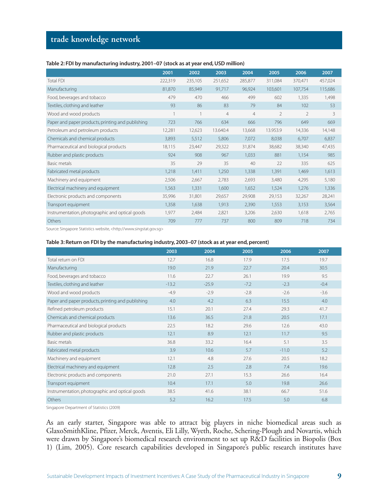#### **Table 2: FDI by manufacturing industry, 2001–07 (stock as at year end, USD million)**

|                                                   | 2001    | 2002    | 2003           | 2004           | 2005           | 2006           | 2007    |
|---------------------------------------------------|---------|---------|----------------|----------------|----------------|----------------|---------|
| <b>Total FDI</b>                                  | 222,319 | 235,105 | 251,652        | 285,877        | 311,084        | 370,471        | 457,024 |
| Manufacturing                                     | 81,870  | 85,949  | 91,717         | 96,924         | 103,601        | 107,754        | 115,686 |
| Food, beverages and tobacco                       | 479     | 470     | 466            | 499            | 602            | 1,335          | 1.498   |
| Textiles, clothing and leather                    | 93      | 86      | 83             | 79             | 84             | 102            | 53      |
| Wood and wood products                            |         |         | $\overline{4}$ | $\overline{4}$ | $\overline{2}$ | $\overline{2}$ | 3       |
| Paper and paper products, printing and publishing | 723     | 766     | 634            | 666            | 796            | 649            | 669     |
| Petroleum and petroleum products                  | 12,281  | 12,623  | 13.640.4       | 13,668         | 13.953.9       | 14,336         | 14,148  |
| Chemicals and chemical products                   | 3,893   | 5,512   | 5,806          | 7,072          | 8,038          | 6,707          | 6,837   |
| Pharmaceutical and biological products            | 18,115  | 23,447  | 29,322         | 31,874         | 38,682         | 38,340         | 47,435  |
| Rubber and plastic products                       | 924     | 908     | 967            | 1,033          | 881            | 1,154          | 985     |
| Basic metals                                      | 35      | 29      | 35             | 40             | 22             | 335            | 625     |
| Fabricated metal products                         | 1,218   | 1,411   | 1,250          | 1,338          | 1,391          | 1,469          | 1,613   |
| Machinery and equipment                           | 2,506   | 2,667   | 2,783          | 2,693          | 3,480          | 4,295          | 5,180   |
| Electrical machinery and equipment                | 1,563   | 1,331   | 1,600          | 1,652          | 1,524          | 1,276          | 1,336   |
| Electronic products and components                | 35,996  | 31,801  | 29,657         | 29,908         | 29,153         | 32,267         | 28,241  |
| Transport equipment                               | 1.358   | 1,638   | 1.913          | 2,390          | 1,553          | 3,153          | 3,564   |
| Instrumentation, photographic and optical goods   | 1.977   | 2,484   | 2,821          | 3,206          | 2,630          | 1.618          | 2,765   |
| Others                                            | 709     | 777     | 737            | 800            | 809            | 718            | 734     |
|                                                   |         |         |                |                |                |                |         |

Source: Singapore Statistics website, <http://www.singstat.gov.sg>

#### **Table 3: Return on FDI by the manufacturing industry, 2003–07 (stock as at year end, percent)**

|                                                   | 2003    | 2004    | 2005   | 2006    | 2007   |
|---------------------------------------------------|---------|---------|--------|---------|--------|
| Total return on FDI                               | 12.7    | 16.8    | 17.9   | 17.5    | 19.7   |
| Manufacturing                                     | 19.0    | 21.9    | 22.7   | 20.4    | 30.5   |
| Food, beverages and tobacco                       | 11.6    | 22.7    | 26.1   | 19.9    | 9.5    |
| Textiles, clothing and leather                    | $-13.2$ | $-25.9$ | $-7.2$ | $-2.3$  | $-0.4$ |
| Wood and wood products                            | $-4.9$  | $-2.9$  | $-2.8$ | $-2.6$  | $-3.6$ |
| Paper and paper products, printing and publishing | 4.0     | 4.2     | 6.3    | 15.5    | 4.0    |
| Refined petroleum products                        | 15.1    | 20.1    | 27.4   | 29.3    | 41.7   |
| Chemicals and chemical products                   | 13.6    | 36.5    | 21.8   | 20.5    | 17.1   |
| Pharmaceutical and biological products            | 22.5    | 18.2    | 29.6   | 12.6    | 43.0   |
| Rubber and plastic products                       | 12.1    | 8.9     | 12.1   | 11.7    | 9.5    |
| Basic metals                                      | 36.8    | 33.2    | 16.4   | 5.1     | 3.5    |
| Fabricated metal products                         | 3.9     | 10.6    | 5.7    | $-11.0$ | 5.2    |
| Machinery and equipment                           | 12.1    | 4.8     | 27.6   | 20.5    | 18.2   |
| Electrical machinery and equipment                | 12.8    | 2.5     | 2.8    | 7.4     | 19.6   |
| Electronic products and components                | 21.0    | 27.1    | 15.3   | 26.6    | 16.4   |
| Transport equipment                               | 10.4    | 17.1    | 5.0    | 19.8    | 26.6   |
| Instrumentation, photographic and optical goods   | 38.5    | 41.6    | 38.1   | 66.7    | 51.6   |
| Others                                            | 5.2     | 16.2    | 17.5   | 5.0     | 6.8    |

Singapore Department of Statistics (2009)

As an early starter, Singapore was able to attract big players in niche biomedical areas such as GlaxoSmithKline, Pfizer, Merck, Aventis, Eli Lilly, Wyeth, Roche, Schering-Plough and Novartis, which were drawn by Singapore's biomedical research environment to set up R&D facilities in Biopolis (Box 1) (Lim, 2005). Core research capabilities developed in Singapore's public research institutes have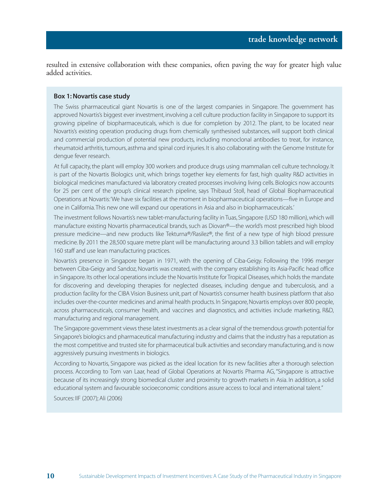resulted in extensive collaboration with these companies, often paving the way for greater high value added activities.

#### **Box 1: Novartis case study**

The Swiss pharmaceutical giant Novartis is one of the largest companies in Singapore. The government has approved Novartis's biggest ever investment, involving a cell culture production facility in Singapore to support its growing pipeline of biopharmaceuticals, which is due for completion by 2012. The plant, to be located near Novartis's existing operation producing drugs from chemically synthesised substances, will support both clinical and commercial production of potential new products, including monoclonal antibodies to treat, for instance, rheumatoid arthritis, tumours, asthma and spinal cord injuries. It is also collaborating with the Genome Institute for dengue fever research.

At full capacity, the plant will employ 300 workers and produce drugs using mammalian cell culture technology. It is part of the Novartis Biologics unit, which brings together key elements for fast, high quality R&D activities in biological medicines manufactured via laboratory created processes involving living cells. Biologics now accounts for 25 per cent of the group's clinical research pipeline, says Thibaud Stoll, head of Global Biopharmaceutical Operations at Novartis:'We have six facilities at the moment in biopharmaceutical operations—five in Europe and one in California.This new one will expand our operations in Asia and also in biopharmaceuticals.'

The investment follows Novartis's new tablet-manufacturing facility in Tuas, Singapore (USD 180 million), which will manufacture existing Novartis pharmaceutical brands, such as Diovan®—the world's most prescribed high blood pressure medicine—and new products like Tekturna®/Rasilez®, the first of a new type of high blood pressure medicine. By 2011 the 28,500 square metre plant will be manufacturing around 3.3 billion tablets and will employ 160 staff and use lean manufacturing practices.

Novartis's presence in Singapore began in 1971, with the opening of Ciba-Geigy. Following the 1996 merger between Ciba-Geigy and Sandoz, Novartis was created, with the company establishing its Asia-Pacific head office in Singapore.Its other local operations include the Novartis Institute for Tropical Diseases, which holds the mandate for discovering and developing therapies for neglected diseases, including dengue and tuberculosis, and a production facility for the CIBA Vision Business unit, part of Novartis's consumer health business platform that also includes over-the-counter medicines and animal health products. In Singapore, Novartis employs over 800 people, across pharmaceuticals, consumer health, and vaccines and diagnostics, and activities include marketing, R&D, manufacturing and regional management.

The Singapore government views these latest investments as a clear signal of the tremendous growth potential for Singapore's biologics and pharmaceutical manufacturing industry and claims that the industry has a reputation as the most competitive and trusted site for pharmaceutical bulk activities and secondary manufacturing, and is now aggressively pursuing investments in biologics.

According to Novartis, Singapore was picked as the ideal location for its new facilities after a thorough selection process. According to Tom van Laar, head of Global Operations at Novartis Pharma AG, "Singapore is attractive because of its increasingly strong biomedical cluster and proximity to growth markets in Asia. In addition, a solid educational system and favourable socioeconomic conditions assure access to local and international talent."

Sources: IIF (2007); Ali (2006)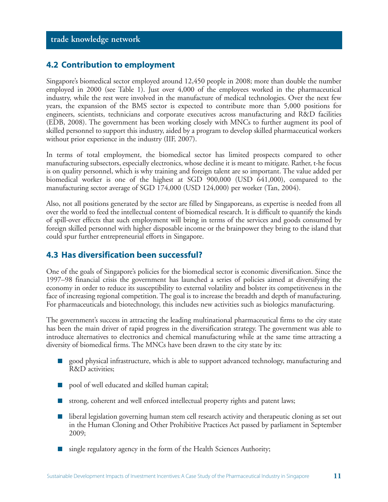#### **4.2 Contribution to employment**

Singapore's biomedical sector employed around 12,450 people in 2008; more than double the number employed in 2000 (see Table 1). Just over 4,000 of the employees worked in the pharmaceutical industry, while the rest were involved in the manufacture of medical technologies. Over the next few years, the expansion of the BMS sector is expected to contribute more than 5,000 positions for engineers, scientists, technicians and corporate executives across manufacturing and R&D facilities (EDB, 2008). The government has been working closely with MNCs to further augment its pool of skilled personnel to support this industry, aided by a program to develop skilled pharmaceutical workers without prior experience in the industry (IIF, 2007).

In terms of total employment, the biomedical sector has limited prospects compared to other manufacturing subsectors, especially electronics, whose decline it is meant to mitigate. Rather, t-he focus is on quality personnel, which is why training and foreign talent are so important. The value added per biomedical worker is one of the highest at SGD 900,000 (USD 641,000), compared to the manufacturing sector average of SGD 174,000 (USD 124,000) per worker (Tan, 2004).

Also, not all positions generated by the sector are filled by Singaporeans, as expertise is needed from all over the world to feed the intellectual content of biomedical research. It is difficult to quantify the kinds of spill-over effects that such employment will bring in terms of the services and goods consumed by foreign skilled personnel with higher disposable income or the brainpower they bring to the island that could spur further entrepreneurial efforts in Singapore.

#### **4.3 Has diversification been successful?**

One of the goals of Singapore's policies for the biomedical sector is economic diversification. Since the 1997–98 financial crisis the government has launched a series of policies aimed at diversifying the economy in order to reduce its susceptibility to external volatility and bolster its competitiveness in the face of increasing regional competition. The goal is to increase the breadth and depth of manufacturing. For pharmaceuticals and biotechnology, this includes new activities such as biologics manufacturing.

The government's success in attracting the leading multinational pharmaceutical firms to the city state has been the main driver of rapid progress in the diversification strategy. The government was able to introduce alternatives to electronics and chemical manufacturing while at the same time attracting a diversity of biomedical firms. The MNCs have been drawn to the city state by its:

- good physical infrastructure, which is able to support advanced technology, manufacturing and R&D activities;
- pool of well educated and skilled human capital;
- strong, coherent and well enforced intellectual property rights and patent laws;
- liberal legislation governing human stem cell research activity and therapeutic cloning as set out in the Human Cloning and Other Prohibitive Practices Act passed by parliament in September 2009;
- single regulatory agency in the form of the Health Sciences Authority;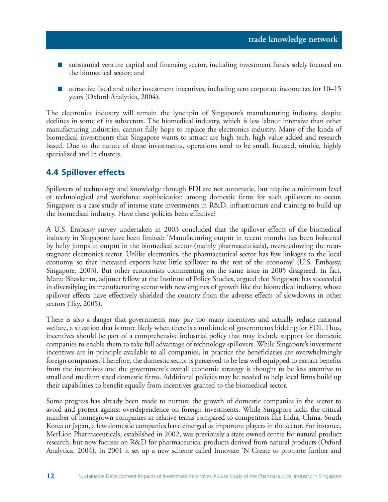- substantial venture capital and financing sector, including investment funds solely focused on the biomedical sector; and
- attractive fiscal and other investment incentives, including zero corporate income tax for 10–15 years (Oxford Analytica, 2004).

The electronics industry will remain the lynchpin of Singapore's manufacturing industry, despite declines in some of its subsectors. The biomedical industry, which is less labour intensive than other manufacturing industries, cannot fully hope to replace the electronics industry. Many of the kinds of biomedical investments that Singapore wants to attract are high tech, high value added and research based. Due to the nature of these investments, operations tend to be small, focused, nimble, highly specialized and in clusters.

#### **4.4 Spillover effects**

Spillovers of technology and knowledge through FDI are not automatic, but require a minimum level of technological and workforce sophistication among domestic firms for such spillovers to occur. Singapore is a case study of intense state investments in R&D, infrastructure and training to build up the biomedical industry. Have these policies been effective?

A U.S. Embassy survey undertaken in 2003 concluded that the spillover effects of the biomedical industry in Singapore have been limited: 'Manufacturing output in recent months has been bolstered by hefty jumps in output in the biomedical sector (mainly pharmaceuticals), overshadowing the nearstagnant electronics sector. Unlike electronics, the pharmaceutical sector has few linkages to the local economy, so that increased exports have little spillover to the rest of the economy' (U.S. Embassy, Singapore, 2003). But other economists commenting on the same issue in 2005 disagreed. In fact, Manu Bhaskaran, adjunct fellow at the Institute of Policy Studies, argued that Singapore has succeeded in diversifying its manufacturing sector with new engines of growth like the biomedical industry, whose spillover effects have effectively shielded the country from the adverse effects of slowdowns in other sectors (Tay, 2005).

There is also a danger that governments may pay too many incentives and actually reduce national welfare, a situation that is more likely when there is a multitude of governments bidding for FDI. Thus, incentives should be part of a comprehensive industrial policy that may include support for domestic companies to enable them to take full advantage of technology spillovers. While Singapore's investment incentives are in principle available to all companies, in practice the beneficiaries are overwhelmingly foreign companies. Therefore, the domestic sector is perceived to be less well equipped to extract benefits from the incentives and the government's overall economic strategy is thought to be less attentive to small and medium sized domestic firms. Additional policies may be needed to help local firms build up their capabilities to benefit equally from incentives granted to the biomedical sector.

Some progress has already been made to nurture the growth of domestic companies in the sector to avoid and protect against overdependence on foreign investments. While Singapore lacks the critical number of homegrown companies in relative terms compared to competitors like India, China, South Korea or Japan, a few domestic companies have emerged as important players in the sector. For instance, MerLion Pharmaceuticals, established in 2002, was previously a state owned centre for natural product research, but now focuses on R&D for pharmaceutical products derived from natural products (Oxford Analytica, 2004). In 2001 it set up a new scheme called Innovate 'N Create to promote further and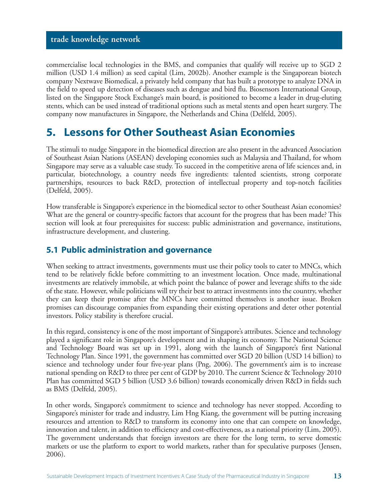commercialise local technologies in the BMS, and companies that qualify will receive up to SGD 2 million (USD 1.4 million) as seed capital (Lim, 2002b). Another example is the Singaporean biotech company Nextwave Biomedical, a privately held company that has built a prototype to analyze DNA in the field to speed up detection of diseases such as dengue and bird flu. Biosensors International Group, listed on the Singapore Stock Exchange's main board, is positioned to become a leader in drug-eluting stents, which can be used instead of traditional options such as metal stents and open heart surgery. The company now manufactures in Singapore, the Netherlands and China (Delfeld, 2005).

# **5. Lessons for Other Southeast Asian Economies**

The stimuli to nudge Singapore in the biomedical direction are also present in the advanced Association of Southeast Asian Nations (ASEAN) developing economies such as Malaysia and Thailand, for whom Singapore may serve as a valuable case study. To succeed in the competitive arena of life sciences and, in particular, biotechnology, a country needs five ingredients: talented scientists, strong corporate partnerships, resources to back R&D, protection of intellectual property and top-notch facilities (Delfeld, 2005).

How transferable is Singapore's experience in the biomedical sector to other Southeast Asian economies? What are the general or country-specific factors that account for the progress that has been made? This section will look at four prerequisites for success: public administration and governance, institutions, infrastructure development, and clustering.

#### **5.1 Public administration and governance**

When seeking to attract investments, governments must use their policy tools to cater to MNCs, which tend to be relatively fickle before committing to an investment location. Once made, multinational investments are relatively immobile, at which point the balance of power and leverage shifts to the side of the state. However, while politicians will try their best to attract investments into the country, whether they can keep their promise after the MNCs have committed themselves is another issue. Broken promises can discourage companies from expanding their existing operations and deter other potential investors. Policy stability is therefore crucial.

In this regard, consistency is one of the most important of Singapore's attributes. Science and technology played a significant role in Singapore's development and in shaping its economy. The National Science and Technology Board was set up in 1991, along with the launch of Singapore's first National Technology Plan. Since 1991, the government has committed over SGD 20 billion (USD 14 billion) to science and technology under four five-year plans (Png, 2006). The government's aim is to increase national spending on R&D to three per cent of GDP by 2010. The current Science & Technology 2010 Plan has committed SGD 5 billion (USD 3.6 billion) towards economically driven R&D in fields such as BMS (Delfeld, 2005).

In other words, Singapore's commitment to science and technology has never stopped. According to Singapore's minister for trade and industry, Lim Hng Kiang, the government will be putting increasing resources and attention to R&D to transform its economy into one that can compete on knowledge, innovation and talent, in addition to efficiency and cost-effectiveness, as a national priority (Lim, 2005). The government understands that foreign investors are there for the long term, to serve domestic markets or use the platform to export to world markets, rather than for speculative purposes (Jensen, 2006).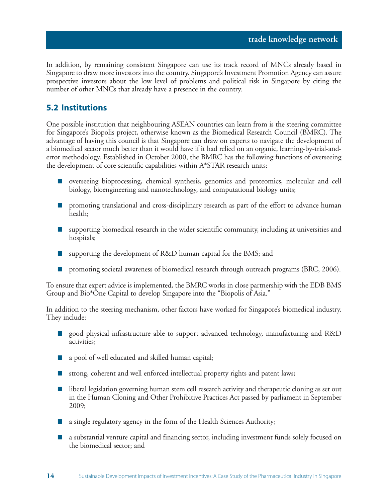In addition, by remaining consistent Singapore can use its track record of MNCs already based in Singapore to draw more investors into the country. Singapore's Investment Promotion Agency can assure prospective investors about the low level of problems and political risk in Singapore by citing the number of other MNCs that already have a presence in the country.

#### **5.2 Institutions**

**14**

One possible institution that neighbouring ASEAN countries can learn from is the steering committee for Singapore's Biopolis project, otherwise known as the Biomedical Research Council (BMRC). The advantage of having this council is that Singapore can draw on experts to navigate the development of a biomedical sector much better than it would have if it had relied on an organic, learning-by-trial-anderror methodology. Established in October 2000, the BMRC has the following functions of overseeing the development of core scientific capabilities within A\*STAR research units:

- overseeing bioprocessing, chemical synthesis, genomics and proteomics, molecular and cell biology, bioengineering and nanotechnology, and computational biology units;
- promoting translational and cross-disciplinary research as part of the effort to advance human health;
- supporting biomedical research in the wider scientific community, including at universities and hospitals;
- supporting the development of R&D human capital for the BMS; and
- promoting societal awareness of biomedical research through outreach programs (BRC, 2006).

To ensure that expert advice is implemented, the BMRC works in close partnership with the EDB BMS Group and Bio\*One Capital to develop Singapore into the "Biopolis of Asia."

In addition to the steering mechanism, other factors have worked for Singapore's biomedical industry. They include:

- good physical infrastructure able to support advanced technology, manufacturing and R&D activities;
- a pool of well educated and skilled human capital;
- strong, coherent and well enforced intellectual property rights and patent laws;
- liberal legislation governing human stem cell research activity and therapeutic cloning as set out in the Human Cloning and Other Prohibitive Practices Act passed by parliament in September 2009;
- a single regulatory agency in the form of the Health Sciences Authority;
- a substantial venture capital and financing sector, including investment funds solely focused on the biomedical sector; and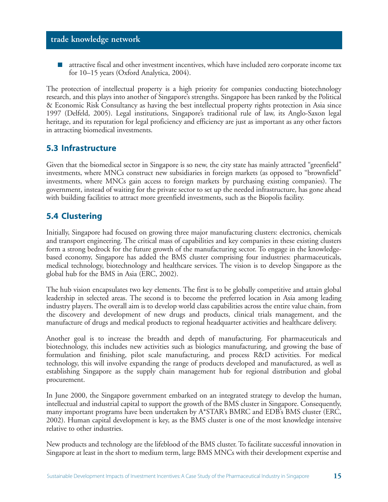attractive fiscal and other investment incentives, which have included zero corporate income tax for 10–15 years (Oxford Analytica, 2004).

The protection of intellectual property is a high priority for companies conducting biotechnology research, and this plays into another of Singapore's strengths. Singapore has been ranked by the Political & Economic Risk Consultancy as having the best intellectual property rights protection in Asia since 1997 (Delfeld, 2005). Legal institutions, Singapore's traditional rule of law, its Anglo-Saxon legal heritage, and its reputation for legal proficiency and efficiency are just as important as any other factors in attracting biomedical investments.

#### **5.3 Infrastructure**

Given that the biomedical sector in Singapore is so new, the city state has mainly attracted "greenfield" investments, where MNCs construct new subsidiaries in foreign markets (as opposed to "brownfield" investments, where MNCs gain access to foreign markets by purchasing existing companies). The government, instead of waiting for the private sector to set up the needed infrastructure, has gone ahead with building facilities to attract more greenfield investments, such as the Biopolis facility.

#### **5.4 Clustering**

Initially, Singapore had focused on growing three major manufacturing clusters: electronics, chemicals and transport engineering. The critical mass of capabilities and key companies in these existing clusters form a strong bedrock for the future growth of the manufacturing sector. To engage in the knowledgebased economy, Singapore has added the BMS cluster comprising four industries: pharmaceuticals, medical technology, biotechnology and healthcare services. The vision is to develop Singapore as the global hub for the BMS in Asia (ERC, 2002).

The hub vision encapsulates two key elements. The first is to be globally competitive and attain global leadership in selected areas. The second is to become the preferred location in Asia among leading industry players. The overall aim is to develop world class capabilities across the entire value chain, from the discovery and development of new drugs and products, clinical trials management, and the manufacture of drugs and medical products to regional headquarter activities and healthcare delivery.

Another goal is to increase the breadth and depth of manufacturing. For pharmaceuticals and biotechnology, this includes new activities such as biologics manufacturing, and growing the base of formulation and finishing, pilot scale manufacturing, and process R&D activities. For medical technology, this will involve expanding the range of products developed and manufactured, as well as establishing Singapore as the supply chain management hub for regional distribution and global procurement.

In June 2000, the Singapore government embarked on an integrated strategy to develop the human, intellectual and industrial capital to support the growth of the BMS cluster in Singapore. Consequently, many important programs have been undertaken by A\*STAR's BMRC and EDB's BMS cluster (ERC, 2002). Human capital development is key, as the BMS cluster is one of the most knowledge intensive relative to other industries.

New products and technology are the lifeblood of the BMS cluster. To facilitate successful innovation in Singapore at least in the short to medium term, large BMS MNCs with their development expertise and

**15**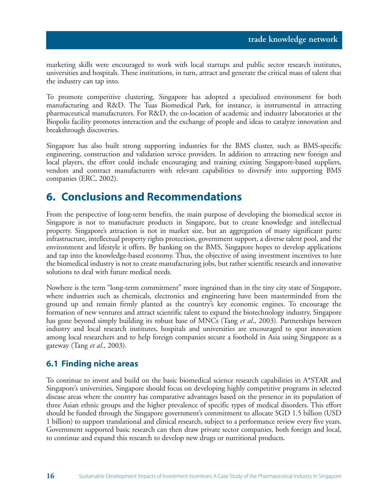marketing skills were encouraged to work with local startups and public sector research institutes, universities and hospitals. These institutions, in turn, attract and generate the critical mass of talent that the industry can tap into.

To promote competitive clustering, Singapore has adopted a specialized environment for both manufacturing and R&D. The Tuas Biomedical Park, for instance, is instrumental in attracting pharmaceutical manufacturers. For R&D, the co-location of academic and industry laboratories at the Biopolis facility promotes interaction and the exchange of people and ideas to catalyze innovation and breakthrough discoveries.

Singapore has also built strong supporting industries for the BMS cluster, such as BMS-specific engineering, construction and validation service providers. In addition to attracting new foreign and local players, the effort could include encouraging and training existing Singapore-based suppliers, vendors and contract manufacturers with relevant capabilities to diversify into supporting BMS companies (ERC, 2002).

# **6. Conclusions and Recommendations**

From the perspective of long-term benefits, the main purpose of developing the biomedical sector in Singapore is not to manufacture products in Singapore, but to create knowledge and intellectual property. Singapore's attraction is not in market size, but an aggregation of many significant parts: infrastructure, intellectual property rights protection, government support, a diverse talent pool, and the environment and lifestyle it offers. By banking on the BMS, Singapore hopes to develop applications and tap into the knowledge-based economy. Thus, the objective of using investment incentives to lure the biomedical industry is not to create manufacturing jobs, but rather scientific research and innovative solutions to deal with future medical needs.

Nowhere is the term "long-term commitment" more ingrained than in the tiny city state of Singapore, where industries such as chemicals, electronics and engineering have been masterminded from the ground up and remain firmly planted as the country's key economic engines. To encourage the formation of new ventures and attract scientific talent to expand the biotechnology industry, Singapore has gone beyond simply building its robust base of MNCs (Tang *et al*., 2003). Partnerships between industry and local research institutes, hospitals and universities are encouraged to spur innovation among local researchers and to help foreign companies secure a foothold in Asia using Singapore as a gateway (Tang *et al*., 2003).

#### **6.1 Finding niche areas**

To continue to invest and build on the basic biomedical science research capabilities in A\*STAR and Singapore's universities, Singapore should focus on developing highly competitive programs in selected disease areas where the country has comparative advantages based on the presence in its population of three Asian ethnic groups and the higher prevalence of specific types of medical disorders. This effort should be funded through the Singapore government's commitment to allocate SGD 1.5 billion (USD 1 billion) to support translational and clinical research, subject to a performance review every five years. Government supported basic research can then draw private sector companies, both foreign and local, to continue and expand this research to develop new drugs or nutritional products.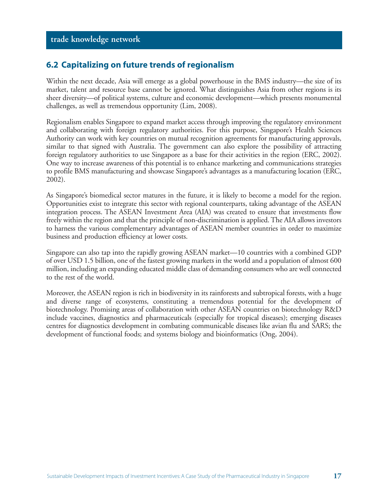#### **6.2 Capitalizing on future trends of regionalism**

Within the next decade, Asia will emerge as a global powerhouse in the BMS industry—the size of its market, talent and resource base cannot be ignored. What distinguishes Asia from other regions is its sheer diversity—of political systems, culture and economic development—which presents monumental challenges, as well as tremendous opportunity (Lim, 2008).

Regionalism enables Singapore to expand market access through improving the regulatory environment and collaborating with foreign regulatory authorities. For this purpose, Singapore's Health Sciences Authority can work with key countries on mutual recognition agreements for manufacturing approvals, similar to that signed with Australia. The government can also explore the possibility of attracting foreign regulatory authorities to use Singapore as a base for their activities in the region (ERC, 2002). One way to increase awareness of this potential is to enhance marketing and communications strategies to profile BMS manufacturing and showcase Singapore's advantages as a manufacturing location (ERC, 2002).

As Singapore's biomedical sector matures in the future, it is likely to become a model for the region. Opportunities exist to integrate this sector with regional counterparts, taking advantage of the ASEAN integration process. The ASEAN Investment Area (AIA) was created to ensure that investments flow freely within the region and that the principle of non-discrimination is applied. The AIA allows investors to harness the various complementary advantages of ASEAN member countries in order to maximize business and production efficiency at lower costs.

Singapore can also tap into the rapidly growing ASEAN market—10 countries with a combined GDP of over USD 1.5 billion, one of the fastest growing markets in the world and a population of almost 600 million, including an expanding educated middle class of demanding consumers who are well connected to the rest of the world.

Moreover, the ASEAN region is rich in biodiversity in its rainforests and subtropical forests, with a huge and diverse range of ecosystems, constituting a tremendous potential for the development of biotechnology. Promising areas of collaboration with other ASEAN countries on biotechnology R&D include vaccines, diagnostics and pharmaceuticals (especially for tropical diseases); emerging diseases centres for diagnostics development in combating communicable diseases like avian flu and SARS; the development of functional foods; and systems biology and bioinformatics (Ong, 2004).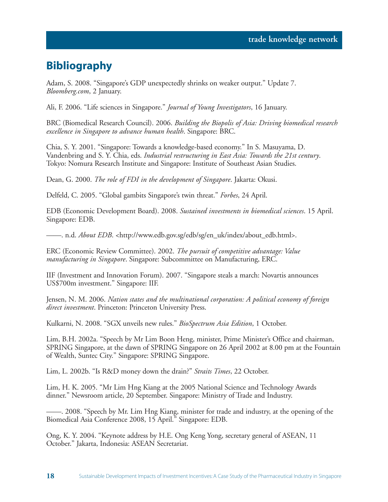# **Bibliography**

**18**

Adam, S. 2008. "Singapore's GDP unexpectedly shrinks on weaker output." Update 7. *Bloomberg.com*, 2 January.

Ali, F. 2006. "Life sciences in Singapore." *Journal of Young Investigators*, 16 January.

BRC (Biomedical Research Council). 2006. *Building the Biopolis of Asia: Driving biomedical research excellence in Singapore to advance human health*. Singapore: BRC.

Chia, S. Y. 2001. "Singapore: Towards a knowledge-based economy." In S. Masuyama, D. Vandenbring and S. Y. Chia, eds. *Industrial restructuring in East Asia: Towards the 21st century*. Tokyo: Nomura Research Institute and Singapore: Institute of Southeast Asian Studies.

Dean, G. 2000. *The role of FDI in the development of Singapore*. Jakarta: Okusi.

Delfeld, C. 2005. "Global gambits Singapore's twin threat." *Forbes*, 24 April.

EDB (Economic Development Board). 2008. *Sustained investments in biomedical sciences*. 15 April. Singapore: EDB.

——. n.d. *About EDB*. <http://www.edb.gov.sg/edb/sg/en\_uk/index/about\_edb.html>.

ERC (Economic Review Committee). 2002. *The pursuit of competitive advantage: Value manufacturing in Singapore*. Singapore: Subcommittee on Manufacturing, ERC.

IIF (Investment and Innovation Forum). 2007. "Singapore steals a march: Novartis announces US\$700m investment." Singapore: IIF.

Jensen, N. M. 2006. *Nation states and the multinational corporation: A political economy of foreign direct investment*. Princeton: Princeton University Press.

Kulkarni, N. 2008. "SGX unveils new rules." *BioSpectrum Asia Edition*, 1 October.

Lim, B.H. 2002a. "Speech by Mr Lim Boon Heng, minister, Prime Minister's Office and chairman, SPRING Singapore, at the dawn of SPRING Singapore on 26 April 2002 at 8.00 pm at the Fountain of Wealth, Suntec City." Singapore: SPRING Singapore.

Lim, L. 2002b. "Is R&D money down the drain?" *Straits Times*, 22 October.

Lim, H. K. 2005. "Mr Lim Hng Kiang at the 2005 National Science and Technology Awards dinner." Newsroom article, 20 September. Singapore: Ministry of Trade and Industry.

——. 2008. "Speech by Mr. Lim Hng Kiang, minister for trade and industry, at the opening of the Biomedical Asia Conference 2008, 15 April." Singapore: EDB.

Ong, K. Y. 2004. "Keynote address by H.E. Ong Keng Yong, secretary general of ASEAN, 11 October." Jakarta, Indonesia: ASEAN Secretariat.